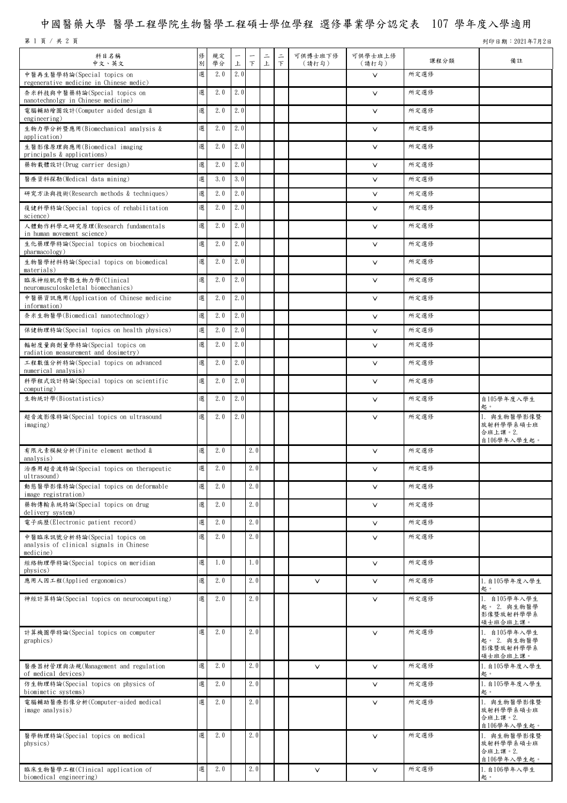## 中國醫藥大學 醫學工程學院生物醫學工程碩士學位學程 選修畢業學分認定表 107 學年度入學適用

第 1 頁 / 共 2 頁 9 2021年7月2日

| 科目名稱<br>中文、英文                                                                        | 修<br>別 | 規定<br>學分 | $\overline{\phantom{0}}$<br>上 | F   | $\equiv$<br>上 | $\equiv$<br>$\top$ | 可供博士班下修<br>(請打勾) | 可供學士班上修<br>(請打勾) | 課程分類 | 備註                                                         |
|--------------------------------------------------------------------------------------|--------|----------|-------------------------------|-----|---------------|--------------------|------------------|------------------|------|------------------------------------------------------------|
| 中醫再生醫學特論(Special topics on<br>regenerative medicine in Chinese medic)                | 選      | 2.0      | 2.0                           |     |               |                    |                  | $\vee$           | 所定選修 |                                                            |
| 奈米科技與中醫藥特論(Special topics on<br>nanotechnolgy in Chinese medicine)                   | 選      | 2.0      | 2.0                           |     |               |                    |                  | $\vee$           | 所定選修 |                                                            |
| 電腦輔助繪圖設計(Computer aided design &<br>engineering)                                     | 選      | 2.0      | 2.0                           |     |               |                    |                  | $\vee$           | 所定選修 |                                                            |
| 生物力學分析暨應用(Biomechanical analysis &<br>application)                                   | 選      | 2.0      | 2.0                           |     |               |                    |                  | $\vee$           | 所定選修 |                                                            |
| 生醫影像原理與應用(Biomedical imaging<br>principals & applications)                           | 選      | 2.0      | 2.0                           |     |               |                    |                  | $\vee$           | 所定選修 |                                                            |
| 藥物載體設計(Drug carrier design)                                                          | 選      | 2.0      | 2.0                           |     |               |                    |                  | $\vee$           | 所定選修 |                                                            |
| 醫療資料探勘(Medical data mining)                                                          | 選      | 3.0      | 3.0                           |     |               |                    |                  | $\vee$           | 所定選修 |                                                            |
| 研究方法與技術(Research methods & techniques)                                               | 選      | 2.0      | 2.0                           |     |               |                    |                  | $\vee$           | 所定選修 |                                                            |
| 復健科學特論(Special topics of rehabilitation<br>science)                                  | 選      | 2.0      | 2.0                           |     |               |                    |                  | $\vee$           | 所定選修 |                                                            |
| 人體動作科學之研究原理(Research fundamentals<br>in human movement science)                      | 選      | 2.0      | 2.0                           |     |               |                    |                  | $\vee$           | 所定選修 |                                                            |
| 生化藥理學特論(Special topics on biochemical<br>pharmacology)                               | 選      | 2.0      | 2.0                           |     |               |                    |                  | $\vee$           | 所定選修 |                                                            |
| 生物醫學材料特論(Special topics on biomedical<br>materials)                                  | 選      | 2.0      | 2.0                           |     |               |                    |                  | $\vee$           | 所定選修 |                                                            |
| 臨床神經肌肉骨骼生物力學(Clinical<br>neuromusculoskeletal biomechanics)                          | 選      | 2.0      | 2.0                           |     |               |                    |                  | $\vee$           | 所定選修 |                                                            |
| 中醫藥資訊應用(Application of Chinese medicine<br>information)                              | 選      | 2.0      | 2.0                           |     |               |                    |                  | $\vee$           | 所定選修 |                                                            |
| 奈米生物醫學(Biomedical nanotechnology)                                                    | 選      | 2.0      | 2.0                           |     |               |                    |                  | $\checkmark$     | 所定選修 |                                                            |
| 保健物理特論(Special topics on health physics)                                             | 選      | 2.0      | 2.0                           |     |               |                    |                  | $\checkmark$     | 所定選修 |                                                            |
| 輻射度量與劑量學特論(Special topics on<br>radiation measurement and dosimetry)                 | 選      | 2.0      | 2.0                           |     |               |                    |                  | $\vee$           | 所定選修 |                                                            |
| 工程數值分析特論(Special topics on advanced<br>numerical analysis)                           | 選      | 2.0      | 2.0                           |     |               |                    |                  | $\vee$           | 所定選修 |                                                            |
| 科學程式設計特論(Special topics on scientific<br>computing)                                  | 選      | 2.0      | 2.0                           |     |               |                    |                  | $\checkmark$     | 所定選修 |                                                            |
| 生物統計學(Biostatistics)                                                                 | 選      | 2.0      | 2.0                           |     |               |                    |                  | $\vee$           | 所定選修 | 自105學年度入學生                                                 |
| 超音波影像特論(Special topics on ultrasound<br>imaging)                                     | 選      | 2.0      | 2.0                           |     |               |                    |                  | $\vee$           | 所定選修 | 起。<br>1. 與生物醫學影像暨<br>放射科學學系碩士班<br>合班上課。2.<br>自106學年入學生起。   |
| 有限元素模擬分析(Finite element method &<br>analysis)                                        | 選      | 2.0      |                               | 2.0 |               |                    |                  | $\vee$           | 所定選修 |                                                            |
| 治療用超音波特論(Special topics on therapeutic<br>ultrasound)                                | 選      | 2.0      |                               | 2.0 |               |                    |                  | $\vee$           | 所定選修 |                                                            |
| 動態醫學影像特論(Special topics on deformable<br>image registration)                         | 選      | 2.0      |                               | 2.0 |               |                    |                  | $\vee$           | 所定選修 |                                                            |
| 藥物傳輸系統特論(Special topics on drug<br>delivery system)                                  | 選      | 2.0      |                               | 2.0 |               |                    |                  | $\vee$           | 所定選修 |                                                            |
| 電子病歷(Electronic patient record)                                                      | 選      | 2.0      |                               | 2.0 |               |                    |                  | $\checkmark$     | 所定選修 |                                                            |
| 中醫臨床訊號分析特論(Special topics on<br>analysis of clinical signals in Chinese<br>medicine) | 選      | 2.0      |                               | 2.0 |               |                    |                  | $\vee$           | 所定選修 |                                                            |
| 經絡物理學特論(Special topics on meridian                                                   | 選      | 1.0      |                               | 1.0 |               |                    |                  | $\checkmark$     | 所定選修 |                                                            |
| physics)<br>應用人因工程(Applied ergonomics)                                               | 選      | 2.0      |                               | 2.0 |               |                    | $\vee$           | $\checkmark$     | 所定選修 | 1. 自105學年度入學生                                              |
| 神經計算特論(Special topics on neurocomputing)                                             | 選      | 2.0      |                               | 2.0 |               |                    |                  | $\vee$           | 所定選修 | 起。<br>1. 自105學年入學生<br>起。 2. 與生物醫學<br>影像暨放射科學學系<br>碩士班合班上課。 |
| 計算機圖學特論(Special topics on computer<br>graphics)                                      | 選      | 2.0      |                               | 2.0 |               |                    |                  | $\vee$           | 所定選修 | 1. 自105學年入學生<br>起。 2. 與生物醫學<br>影像暨放射科學學系<br>碩士班合班上課。       |
| 醫療器材管理與法規(Management and regulation<br>of medical devices)                           | 選      | 2.0      |                               | 2.0 |               |                    | $\vee$           | $\vee$           | 所定選修 | 1. 自105學年度入學生<br>起。                                        |
| 仿生物理特論(Special topics on physics of<br>biomimetic systems)                           | 選      | 2.0      |                               | 2.0 |               |                    |                  | $\vee$           | 所定選修 | 1. 自105學年度入學生<br>起。                                        |
| 電腦輔助醫療影像分析(Computer-aided medical<br>image analysis)                                 | 選      | 2.0      |                               | 2.0 |               |                    |                  | $\vee$           | 所定選修 | 1. 與生物醫學影像暨<br>放射科學學系碩士班<br>合班上課。2.<br>自106學年入學生起。         |
| 醫學物理特論(Special topics on medical<br>physics)                                         | 選      | 2.0      |                               | 2.0 |               |                    |                  | $\vee$           | 所定選修 | 1. 與生物醫學影像暨<br>放射科學學系碩士班<br>合班上課。2.<br>自106學年入學生起。         |
| 臨床生物醫學工程(Clinical application of<br>biomedical engineering)                          | 選      | 2.0      |                               | 2.0 |               |                    | $\checkmark$     | $\checkmark$     | 所定選修 | 1. 自106學年入學生<br>起。                                         |